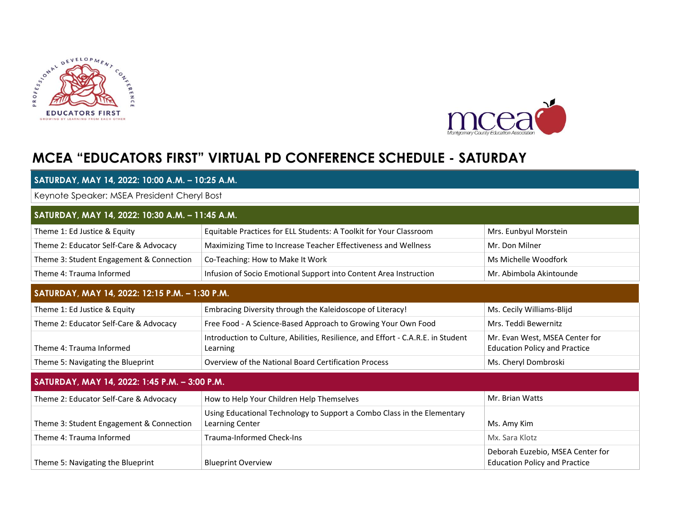



## **MCEA "EDUCATORS FIRST" VIRTUAL PD CONFERENCE SCHEDULE - SATURDAY**

| SATURDAY, MAY 14, 2022: 10:00 A.M. - 10:25 A.M.<br>Keynote Speaker: MSEA President Cheryl Bost<br>SATURDAY, MAY 14, 2022: 10:30 A.M. - 11:45 A.M. |                                                                                              |                                                                          |  |  |                                        |                                                                    |                       |
|---------------------------------------------------------------------------------------------------------------------------------------------------|----------------------------------------------------------------------------------------------|--------------------------------------------------------------------------|--|--|----------------------------------------|--------------------------------------------------------------------|-----------------------|
|                                                                                                                                                   |                                                                                              |                                                                          |  |  | Theme 1: Ed Justice & Equity           | Equitable Practices for ELL Students: A Toolkit for Your Classroom | Mrs. Eunbyul Morstein |
|                                                                                                                                                   |                                                                                              |                                                                          |  |  | Theme 2: Educator Self-Care & Advocacy | Maximizing Time to Increase Teacher Effectiveness and Wellness     | Mr. Don Milner        |
| Theme 3: Student Engagement & Connection                                                                                                          | Co-Teaching: How to Make It Work                                                             | Ms Michelle Woodfork                                                     |  |  |                                        |                                                                    |                       |
| Theme 4: Trauma Informed                                                                                                                          | Infusion of Socio Emotional Support into Content Area Instruction                            | Mr. Abimbola Akintounde                                                  |  |  |                                        |                                                                    |                       |
| SATURDAY, MAY 14, 2022: 12:15 P.M. - 1:30 P.M.                                                                                                    |                                                                                              |                                                                          |  |  |                                        |                                                                    |                       |
| Theme 1: Ed Justice & Equity                                                                                                                      | Embracing Diversity through the Kaleidoscope of Literacy!                                    | Ms. Cecily Williams-Blijd                                                |  |  |                                        |                                                                    |                       |
| Theme 2: Educator Self-Care & Advocacy                                                                                                            | Free Food - A Science-Based Approach to Growing Your Own Food                                | Mrs. Teddi Bewernitz                                                     |  |  |                                        |                                                                    |                       |
| Theme 4: Trauma Informed                                                                                                                          | Introduction to Culture, Abilities, Resilience, and Effort - C.A.R.E. in Student<br>Learning | Mr. Evan West, MSEA Center for<br><b>Education Policy and Practice</b>   |  |  |                                        |                                                                    |                       |
| Theme 5: Navigating the Blueprint                                                                                                                 | Overview of the National Board Certification Process                                         | Ms. Cheryl Dombroski                                                     |  |  |                                        |                                                                    |                       |
| SATURDAY, MAY 14, 2022: 1:45 P.M. - 3:00 P.M.                                                                                                     |                                                                                              |                                                                          |  |  |                                        |                                                                    |                       |
| Theme 2: Educator Self-Care & Advocacy                                                                                                            | How to Help Your Children Help Themselves                                                    | Mr. Brian Watts                                                          |  |  |                                        |                                                                    |                       |
| Theme 3: Student Engagement & Connection                                                                                                          | Using Educational Technology to Support a Combo Class in the Elementary<br>Learning Center   | Ms. Amy Kim                                                              |  |  |                                        |                                                                    |                       |
| Theme 4: Trauma Informed                                                                                                                          | <b>Trauma-Informed Check-Ins</b>                                                             | Mx. Sara Klotz                                                           |  |  |                                        |                                                                    |                       |
| Theme 5: Navigating the Blueprint                                                                                                                 | <b>Blueprint Overview</b>                                                                    | Deborah Euzebio, MSEA Center for<br><b>Education Policy and Practice</b> |  |  |                                        |                                                                    |                       |